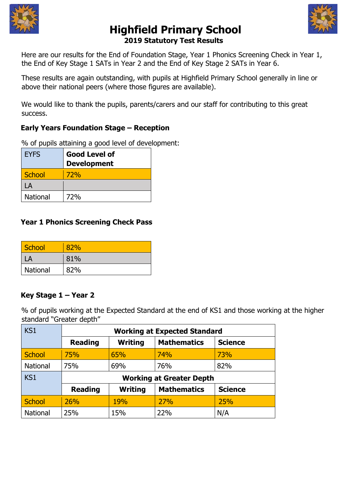



# **Highfield Primary School 2019 Statutory Test Results**

Here are our results for the End of Foundation Stage, Year 1 Phonics Screening Check in Year 1, the End of Key Stage 1 SATs in Year 2 and the End of Key Stage 2 SATs in Year 6.

These results are again outstanding, with pupils at Highfield Primary School generally in line or above their national peers (where those figures are available).

We would like to thank the pupils, parents/carers and our staff for contributing to this great success.

# **Early Years Foundation Stage – Reception**

% of pupils attaining a good level of development:

| <b>EYFS</b>     | <b>Good Level of</b> |  |
|-----------------|----------------------|--|
|                 | <b>Development</b>   |  |
| School          | 72%                  |  |
| LA              |                      |  |
| <b>National</b> | <b>72%</b>           |  |

## **Year 1 Phonics Screening Check Pass**

| School   | 82% |
|----------|-----|
|          | 81% |
| National | 82% |

## **Key Stage 1 – Year 2**

% of pupils working at the Expected Standard at the end of KS1 and those working at the higher standard "Greater depth"

| KS1           | <b>Working at Expected Standard</b> |                |                    |                |
|---------------|-------------------------------------|----------------|--------------------|----------------|
|               | <b>Reading</b>                      | <b>Writing</b> | <b>Mathematics</b> | <b>Science</b> |
| <b>School</b> | 75%                                 | 65%            | 74%                | 73%            |
| National      | 75%                                 | 69%            | 76%                | 82%            |
| KS1           | <b>Working at Greater Depth</b>     |                |                    |                |
|               | <b>Reading</b>                      | <b>Writing</b> | <b>Mathematics</b> | <b>Science</b> |
| <b>School</b> | 26%                                 | <b>19%</b>     | 27%                | 25%            |
| National      | 25%                                 | 15%            | 22%                | N/A            |